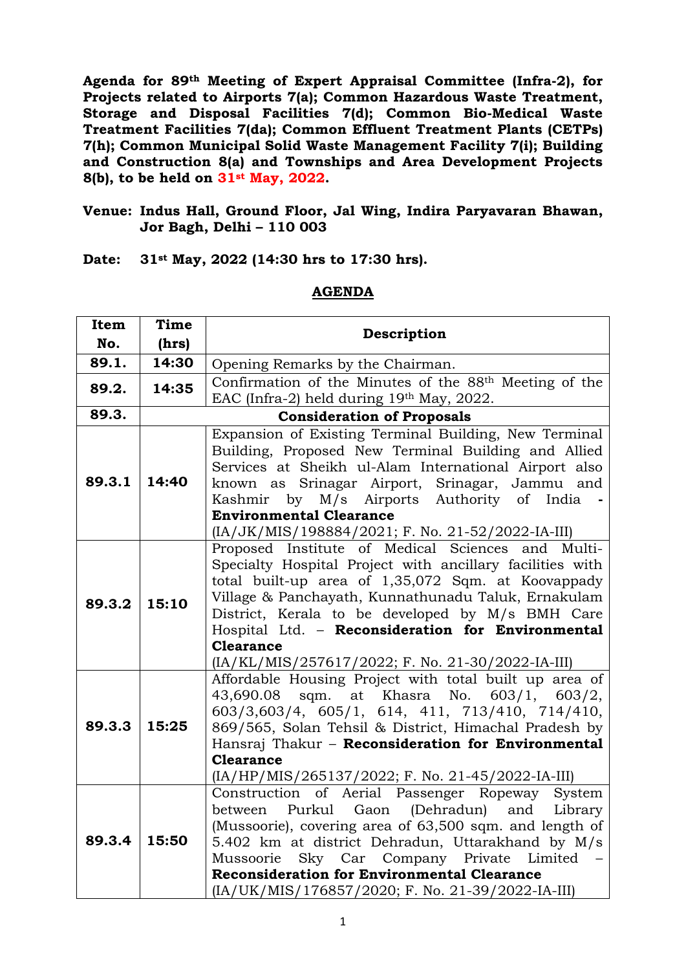**Agenda for 89th Meeting of Expert Appraisal Committee (Infra-2), for Projects related to Airports 7(a); Common Hazardous Waste Treatment, Storage and Disposal Facilities 7(d); Common Bio-Medical Waste Treatment Facilities 7(da); Common Effluent Treatment Plants (CETPs) 7(h); Common Municipal Solid Waste Management Facility 7(i); Building and Construction 8(a) and Townships and Area Development Projects 8(b), to be held on 31st May, 2022.**

#### **Venue: Indus Hall, Ground Floor, Jal Wing, Indira Paryavaran Bhawan, Jor Bagh, Delhi – 110 003**

**Date: 31st May, 2022 (14:30 hrs to 17:30 hrs).**

| Item<br>Time                                                                                     | Description |  |  |
|--------------------------------------------------------------------------------------------------|-------------|--|--|
| No.<br>(hrs)                                                                                     |             |  |  |
| 14:30<br>89.1.<br>Opening Remarks by the Chairman.                                               |             |  |  |
| Confirmation of the Minutes of the 88 <sup>th</sup> Meeting of the<br>89.2.<br>14:35             |             |  |  |
| EAC (Infra-2) held during 19th May, 2022.                                                        |             |  |  |
| 89.3.<br><b>Consideration of Proposals</b>                                                       |             |  |  |
| Expansion of Existing Terminal Building, New Terminal                                            |             |  |  |
| Building, Proposed New Terminal Building and Allied                                              |             |  |  |
| Services at Sheikh ul-Alam International Airport also                                            |             |  |  |
| 89.3.1<br>14:40<br>known as Srinagar Airport, Srinagar, Jammu and                                |             |  |  |
| Kashmir by M/s Airports Authority of India                                                       |             |  |  |
| <b>Environmental Clearance</b>                                                                   |             |  |  |
| (IA/JK/MIS/198884/2021; F. No. 21-52/2022-IA-III)                                                |             |  |  |
| Proposed Institute of Medical Sciences and Multi-                                                |             |  |  |
| Specialty Hospital Project with ancillary facilities with                                        |             |  |  |
| total built-up area of 1,35,072 Sqm. at Koovappady                                               |             |  |  |
| Village & Panchayath, Kunnathunadu Taluk, Ernakulam<br>89.3.2<br>15:10                           |             |  |  |
| District, Kerala to be developed by M/s BMH Care                                                 |             |  |  |
| Hospital Ltd. - Reconsideration for Environmental                                                |             |  |  |
| <b>Clearance</b>                                                                                 |             |  |  |
| (IA/KL/MIS/257617/2022; F. No. 21-30/2022-IA-III)                                                |             |  |  |
| Affordable Housing Project with total built up area of                                           |             |  |  |
| sqm. at Khasra No. 603/1, 603/2,<br>43,690.08                                                    |             |  |  |
| 603/3,603/4, 605/1, 614, 411, 713/410, 714/410,<br>89.3.3<br>15:25                               |             |  |  |
| 869/565, Solan Tehsil & District, Himachal Pradesh by                                            |             |  |  |
| Hansraj Thakur - Reconsideration for Environmental                                               |             |  |  |
| <b>Clearance</b>                                                                                 |             |  |  |
| (IA/HP/MIS/265137/2022; F. No. 21-45/2022-IA-III)                                                |             |  |  |
| Construction of Aerial Passenger Ropeway System<br>Purkul Gaon (Dehradun) and Library<br>between |             |  |  |
| (Mussoorie), covering area of 63,500 sqm. and length of                                          |             |  |  |
| 89.3.4<br>15:50<br>5.402 km at district Dehradun, Uttarakhand by M/s                             |             |  |  |
| Mussoorie Sky Car Company Private Limited                                                        |             |  |  |
| <b>Reconsideration for Environmental Clearance</b>                                               |             |  |  |
| (IA/UK/MIS/176857/2020; F. No. 21-39/2022-IA-III)                                                |             |  |  |

#### **AGENDA**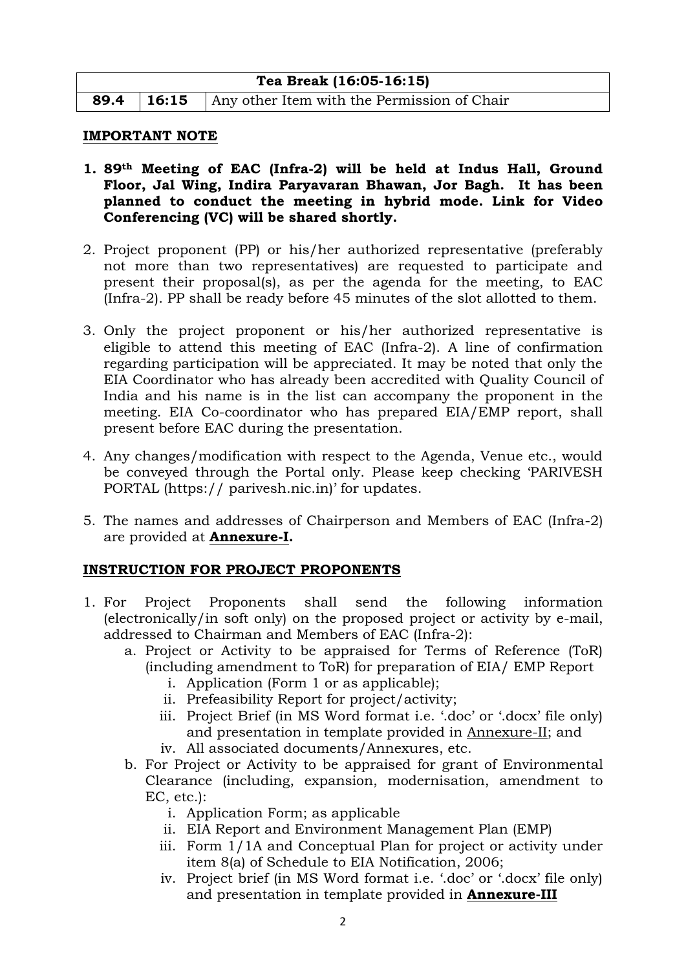| Tea Break (16:05-16:15) |  |                                                               |  |  |  |
|-------------------------|--|---------------------------------------------------------------|--|--|--|
|                         |  | <b>89.4</b> 16:15 Any other Item with the Permission of Chair |  |  |  |

#### **IMPORTANT NOTE**

- **1. 89th Meeting of EAC (Infra-2) will be held at Indus Hall, Ground Floor, Jal Wing, Indira Paryavaran Bhawan, Jor Bagh. It has been planned to conduct the meeting in hybrid mode. Link for Video Conferencing (VC) will be shared shortly.**
- 2. Project proponent (PP) or his/her authorized representative (preferably not more than two representatives) are requested to participate and present their proposal(s), as per the agenda for the meeting, to EAC (Infra-2). PP shall be ready before 45 minutes of the slot allotted to them.
- 3. Only the project proponent or his/her authorized representative is eligible to attend this meeting of EAC (Infra-2). A line of confirmation regarding participation will be appreciated. It may be noted that only the EIA Coordinator who has already been accredited with Quality Council of India and his name is in the list can accompany the proponent in the meeting. EIA Co-coordinator who has prepared EIA/EMP report, shall present before EAC during the presentation.
- 4. Any changes/modification with respect to the Agenda, Venue etc., would be conveyed through the Portal only. Please keep checking 'PARIVESH PORTAL (https:// parivesh.nic.in)' for updates.
- 5. The names and addresses of Chairperson and Members of EAC (Infra-2) are provided at **Annexure-I.**

# **INSTRUCTION FOR PROJECT PROPONENTS**

- 1. For Project Proponents shall send the following information (electronically/in soft only) on the proposed project or activity by e-mail, addressed to Chairman and Members of EAC (Infra-2):
	- a. Project or Activity to be appraised for Terms of Reference (ToR) (including amendment to ToR) for preparation of EIA/ EMP Report
		- i. Application (Form 1 or as applicable);
		- ii. Prefeasibility Report for project/activity;
		- iii. Project Brief (in MS Word format i.e. '.doc' or '.docx' file only) and presentation in template provided in Annexure-II; and
		- iv. All associated documents/Annexures, etc.
	- b. For Project or Activity to be appraised for grant of Environmental Clearance (including, expansion, modernisation, amendment to EC, etc.):
		- i. Application Form; as applicable
		- ii. EIA Report and Environment Management Plan (EMP)
		- iii. Form 1/1A and Conceptual Plan for project or activity under item 8(a) of Schedule to EIA Notification, 2006;
		- iv. Project brief (in MS Word format i.e. '.doc' or '.docx' file only) and presentation in template provided in **Annexure-III**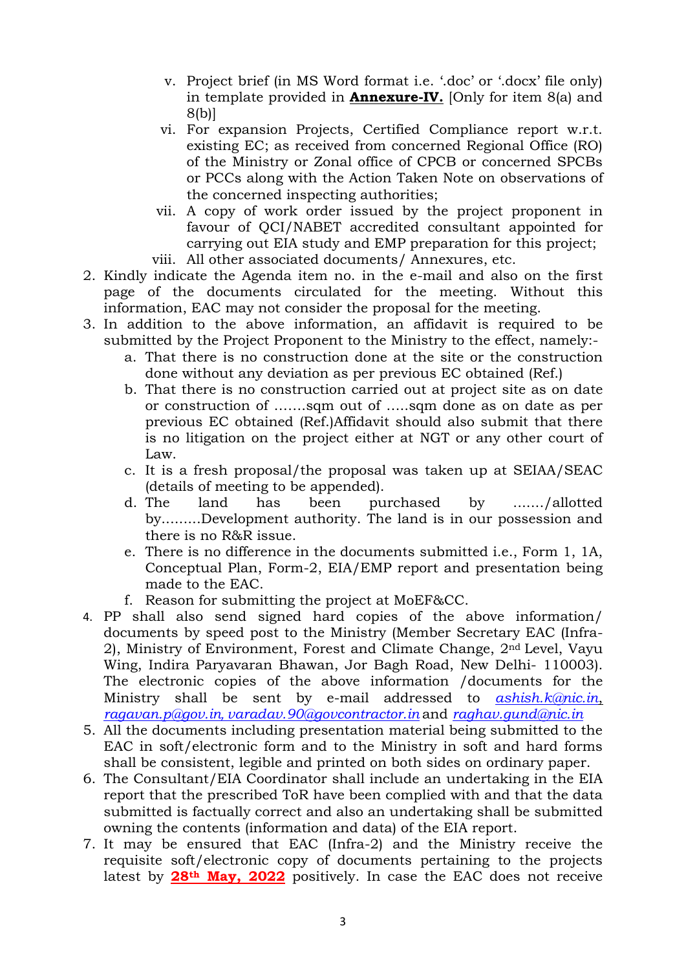- v. Project brief (in MS Word format i.e. '.doc' or '.docx' file only) in template provided in **Annexure-IV.** [Only for item 8(a) and 8(b)]
- vi. For expansion Projects, Certified Compliance report w.r.t. existing EC; as received from concerned Regional Office (RO) of the Ministry or Zonal office of CPCB or concerned SPCBs or PCCs along with the Action Taken Note on observations of the concerned inspecting authorities;
- vii. A copy of work order issued by the project proponent in favour of QCI/NABET accredited consultant appointed for carrying out EIA study and EMP preparation for this project; viii. All other associated documents/ Annexures, etc.
- 2. Kindly indicate the Agenda item no. in the e-mail and also on the first page of the documents circulated for the meeting. Without this
	- information, EAC may not consider the proposal for the meeting.
- 3. In addition to the above information, an affidavit is required to be submitted by the Project Proponent to the Ministry to the effect, namely:
	- a. That there is no construction done at the site or the construction done without any deviation as per previous EC obtained (Ref.)
	- b. That there is no construction carried out at project site as on date or construction of …….sqm out of …..sqm done as on date as per previous EC obtained (Ref.)Affidavit should also submit that there is no litigation on the project either at NGT or any other court of Law.
	- c. It is a fresh proposal/the proposal was taken up at SEIAA/SEAC (details of meeting to be appended).
	- d. The land has been purchased by ......./allotted by.........Development authority. The land is in our possession and there is no R&R issue.
	- e. There is no difference in the documents submitted i.e., Form 1, 1A, Conceptual Plan, Form-2, EIA/EMP report and presentation being made to the EAC.
	- f. Reason for submitting the project at MoEF&CC.
- 4. PP shall also send signed hard copies of the above information/ documents by speed post to the Ministry (Member Secretary EAC (Infra-2), Ministry of Environment, Forest and Climate Change, 2nd Level, Vayu Wing, Indira Paryavaran Bhawan, Jor Bagh Road, New Delhi- 110003). The electronic copies of the above information /documents for the Ministry shall be sent by e-mail addressed to *ashish.k@nic.in*, *ragavan.p@gov.in*, *[varadav.90@govcontractor.in](mailto:ragavan.p@gov.in,%20varadav.90@govcontractor.in)* and *raghav.gund@nic.in*
- 5. All the documents including presentation material being submitted to the EAC in soft/electronic form and to the Ministry in soft and hard forms shall be consistent, legible and printed on both sides on ordinary paper.
- 6. The Consultant/EIA Coordinator shall include an undertaking in the EIA report that the prescribed ToR have been complied with and that the data submitted is factually correct and also an undertaking shall be submitted owning the contents (information and data) of the EIA report.
- 7. It may be ensured that EAC (Infra-2) and the Ministry receive the requisite soft/electronic copy of documents pertaining to the projects latest by **28th May, 2022** positively. In case the EAC does not receive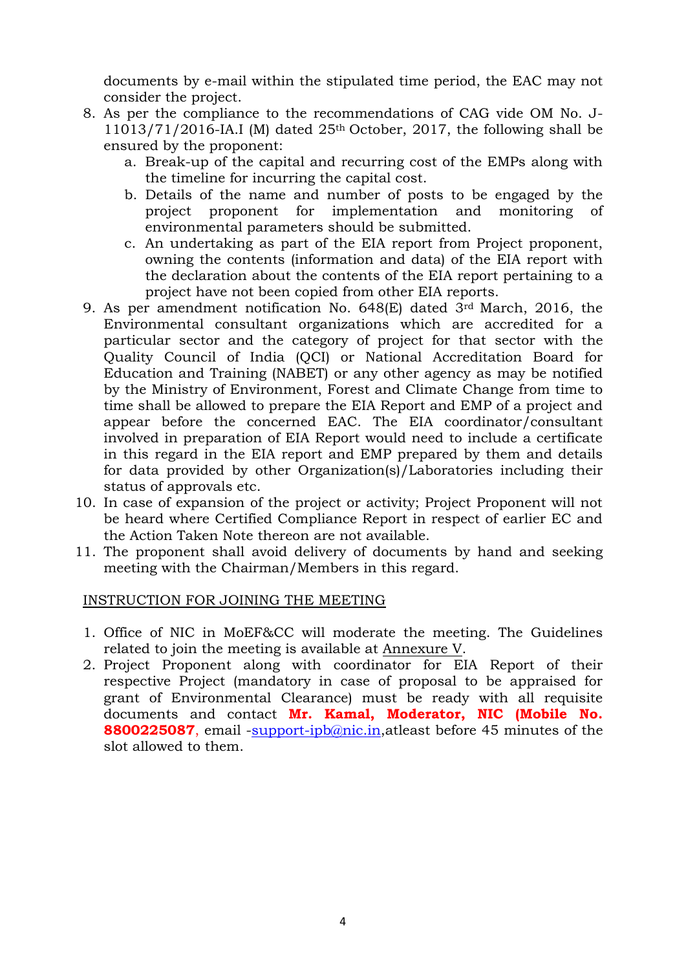documents by e-mail within the stipulated time period, the EAC may not consider the project.

- 8. As per the compliance to the recommendations of CAG vide OM No. J- $11013/71/2016$ -IA.I (M) dated  $25<sup>th</sup>$  October, 2017, the following shall be ensured by the proponent:
	- a. Break-up of the capital and recurring cost of the EMPs along with the timeline for incurring the capital cost.
	- b. Details of the name and number of posts to be engaged by the project proponent for implementation and monitoring of environmental parameters should be submitted.
	- c. An undertaking as part of the EIA report from Project proponent, owning the contents (information and data) of the EIA report with the declaration about the contents of the EIA report pertaining to a project have not been copied from other EIA reports.
- 9. As per amendment notification No. 648(E) dated 3rd March, 2016, the Environmental consultant organizations which are accredited for a particular sector and the category of project for that sector with the Quality Council of India (QCI) or National Accreditation Board for Education and Training (NABET) or any other agency as may be notified by the Ministry of Environment, Forest and Climate Change from time to time shall be allowed to prepare the EIA Report and EMP of a project and appear before the concerned EAC. The EIA coordinator/consultant involved in preparation of EIA Report would need to include a certificate in this regard in the EIA report and EMP prepared by them and details for data provided by other Organization(s)/Laboratories including their status of approvals etc.
- 10. In case of expansion of the project or activity; Project Proponent will not be heard where Certified Compliance Report in respect of earlier EC and the Action Taken Note thereon are not available.
- 11. The proponent shall avoid delivery of documents by hand and seeking meeting with the Chairman/Members in this regard.

#### INSTRUCTION FOR JOINING THE MEETING

- 1. Office of NIC in MoEF&CC will moderate the meeting. The Guidelines related to join the meeting is available at Annexure V.
- 2. Project Proponent along with coordinator for EIA Report of their respective Project (mandatory in case of proposal to be appraised for grant of Environmental Clearance) must be ready with all requisite documents and contact **Mr. Kamal, Moderator, NIC (Mobile No. 8800225087**, email [-support-ipb@nic.in,](mailto:-%20support-ipb@nic.in)atleast before 45 minutes of the slot allowed to them.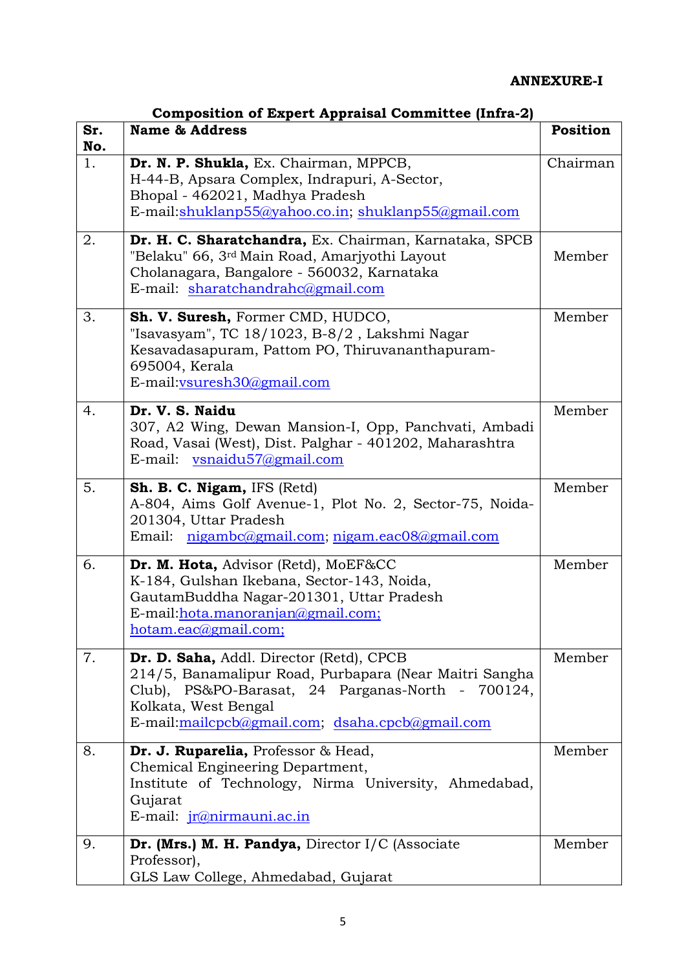# **ANNEXURE-I**

| Sr.<br>No. | <b>Name &amp; Address</b>                                                                                                                                                                                                          | <b>Position</b> |  |
|------------|------------------------------------------------------------------------------------------------------------------------------------------------------------------------------------------------------------------------------------|-----------------|--|
| 1.         | Dr. N. P. Shukla, Ex. Chairman, MPPCB,<br>H-44-B, Apsara Complex, Indrapuri, A-Sector,<br>Bhopal - 462021, Madhya Pradesh<br>E-mail:shuklanp55@yahoo.co.in; shuklanp55@gmail.com                                                   |                 |  |
| 2.         | Dr. H. C. Sharatchandra, Ex. Chairman, Karnataka, SPCB<br>"Belaku" 66, 3rd Main Road, Amarjyothi Layout<br>Cholanagara, Bangalore - 560032, Karnataka<br>E-mail: sharatchandrahc@gmail.com                                         | Member          |  |
| 3.         | Sh. V. Suresh, Former CMD, HUDCO,<br>"Isavasyam", TC 18/1023, B-8/2, Lakshmi Nagar<br>Kesavadasapuram, Pattom PO, Thiruvananthapuram-<br>695004, Kerala<br>E-mail:vsuresh30@gmail.com                                              | Member          |  |
| 4.         | Dr. V. S. Naidu<br>307, A2 Wing, Dewan Mansion-I, Opp, Panchvati, Ambadi<br>Road, Vasai (West), Dist. Palghar - 401202, Maharashtra<br>E-mail: vsnaidu57@gmail.com                                                                 | Member          |  |
| 5.         | Sh. B. C. Nigam, IFS (Retd)<br>A-804, Aims Golf Avenue-1, Plot No. 2, Sector-75, Noida-<br>201304, Uttar Pradesh<br>Email: nigambc@gmail.com; nigam.eac08@gmail.com                                                                | Member          |  |
| 6.         | Dr. M. Hota, Advisor (Retd), MoEF&CC<br>K-184, Gulshan Ikebana, Sector-143, Noida,<br>GautamBuddha Nagar-201301, Uttar Pradesh<br>E-mail: hota.manoranjan@gmail.com;<br>hotam.eac@gmail.com;                                       | Member          |  |
| 7.         | Dr. D. Saha, Addl. Director (Retd), CPCB<br>214/5, Banamalipur Road, Purbapara (Near Maitri Sangha<br>Club), PS&PO-Barasat, 24 Parganas-North - 700124,<br>Kolkata, West Bengal<br>E-mail:mailcpcb@gmail.com; dsaha.cpcb@gmail.com | Member          |  |
| 8.         | Dr. J. Ruparelia, Professor & Head,<br>Chemical Engineering Department,<br>Institute of Technology, Nirma University, Ahmedabad,<br>Gujarat<br>E-mail: <i>jr@nirmauni.ac.in</i>                                                    | Member          |  |
| 9.         | Dr. (Mrs.) M. H. Pandya, Director I/C (Associate<br>Professor),<br>GLS Law College, Ahmedabad, Gujarat                                                                                                                             | Member          |  |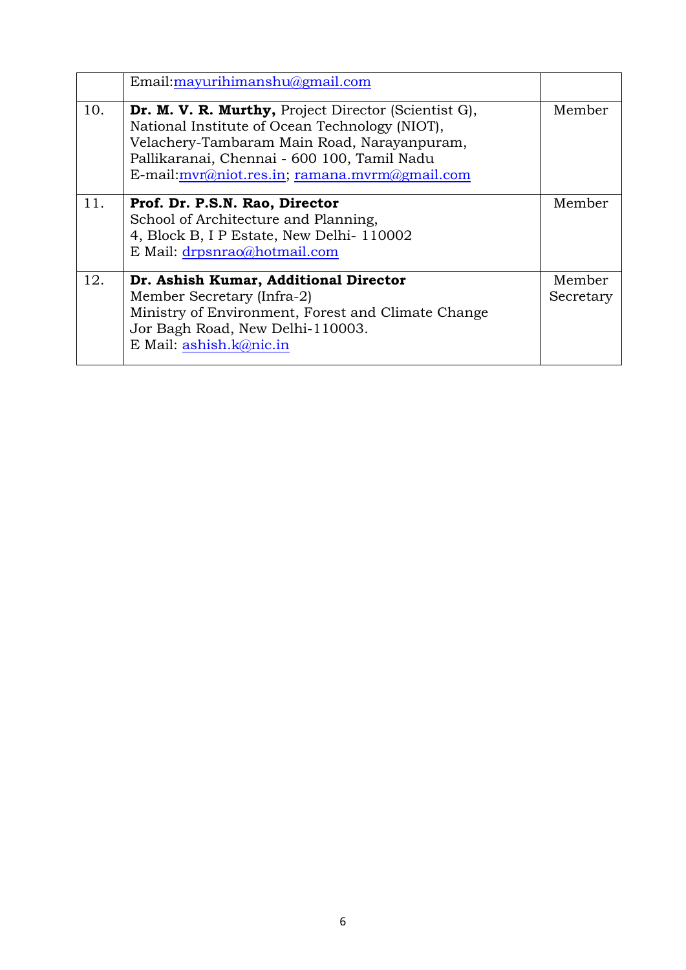|     | Email:mayurihimanshu@gmail.com                                                                                                                                                                                                                           |                     |
|-----|----------------------------------------------------------------------------------------------------------------------------------------------------------------------------------------------------------------------------------------------------------|---------------------|
| 10. | Dr. M. V. R. Murthy, Project Director (Scientist G),<br>National Institute of Ocean Technology (NIOT),<br>Velachery-Tambaram Main Road, Narayanpuram,<br>Pallikaranai, Chennai - 600 100, Tamil Nadu<br>E-mail: $mvr@niot,res.in; ramana.mvrm@gmail.com$ | Member              |
| 11. | Prof. Dr. P.S.N. Rao, Director<br>School of Architecture and Planning,<br>4, Block B, I P Estate, New Delhi-110002<br>E Mail: drpsnrao@hotmail.com                                                                                                       | Member              |
| 12. | Dr. Ashish Kumar, Additional Director<br>Member Secretary (Infra-2)<br>Ministry of Environment, Forest and Climate Change<br>Jor Bagh Road, New Delhi-110003.<br>E Mail: ashish.k@nic.in                                                                 | Member<br>Secretary |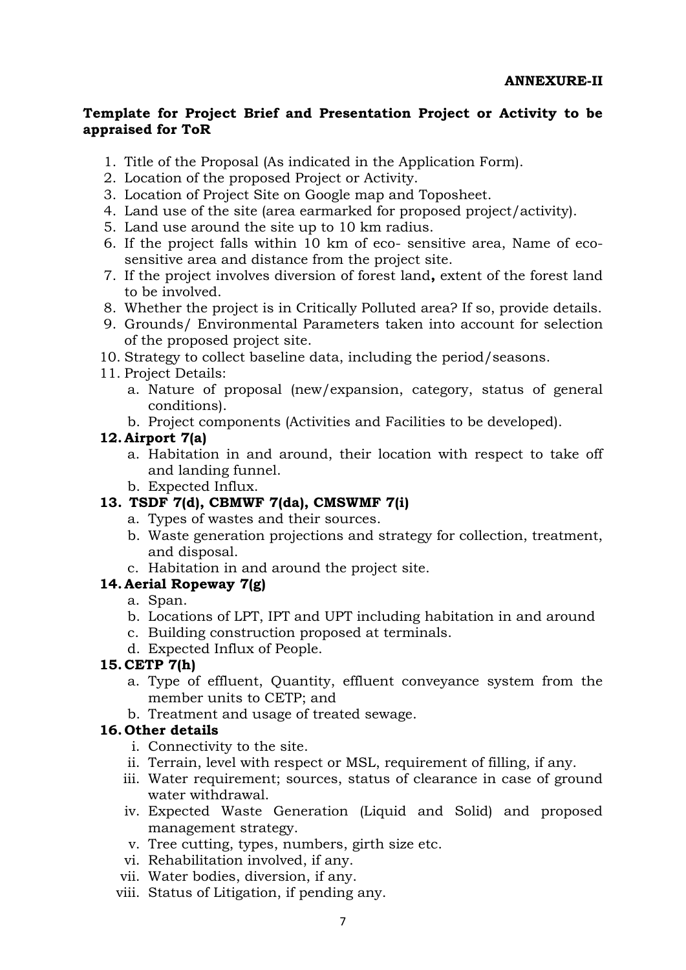#### **Template for Project Brief and Presentation Project or Activity to be appraised for ToR**

- 1. Title of the Proposal (As indicated in the Application Form).
- 2. Location of the proposed Project or Activity.
- 3. Location of Project Site on Google map and Toposheet.
- 4. Land use of the site (area earmarked for proposed project/activity).
- 5. Land use around the site up to 10 km radius.
- 6. If the project falls within 10 km of eco- sensitive area, Name of ecosensitive area and distance from the project site.
- 7. If the project involves diversion of forest land**,** extent of the forest land to be involved.
- 8. Whether the project is in Critically Polluted area? If so, provide details.
- 9. Grounds/ Environmental Parameters taken into account for selection of the proposed project site.
- 10. Strategy to collect baseline data, including the period/seasons.
- 11. Project Details:
	- a. Nature of proposal (new/expansion, category, status of general conditions).
	- b. Project components (Activities and Facilities to be developed).

#### **12. Airport 7(a)**

- a. Habitation in and around, their location with respect to take off and landing funnel.
- b. Expected Influx.

# **13. TSDF 7(d), CBMWF 7(da), CMSWMF 7(i)**

- a. Types of wastes and their sources.
- b. Waste generation projections and strategy for collection, treatment, and disposal.
- c. Habitation in and around the project site.

# **14. Aerial Ropeway 7(g)**

- a. Span.
- b. Locations of LPT, IPT and UPT including habitation in and around
- c. Building construction proposed at terminals.
- d. Expected Influx of People.

# **15. CETP 7(h)**

- a. Type of effluent, Quantity, effluent conveyance system from the member units to CETP; and
- b. Treatment and usage of treated sewage.

# **16. Other details**

- i. Connectivity to the site.
- ii. Terrain, level with respect or MSL, requirement of filling, if any.
- iii. Water requirement; sources, status of clearance in case of ground water withdrawal.
- iv. Expected Waste Generation (Liquid and Solid) and proposed management strategy.
- v. Tree cutting, types, numbers, girth size etc.
- vi. Rehabilitation involved, if any.
- vii. Water bodies, diversion, if any.
- viii. Status of Litigation, if pending any.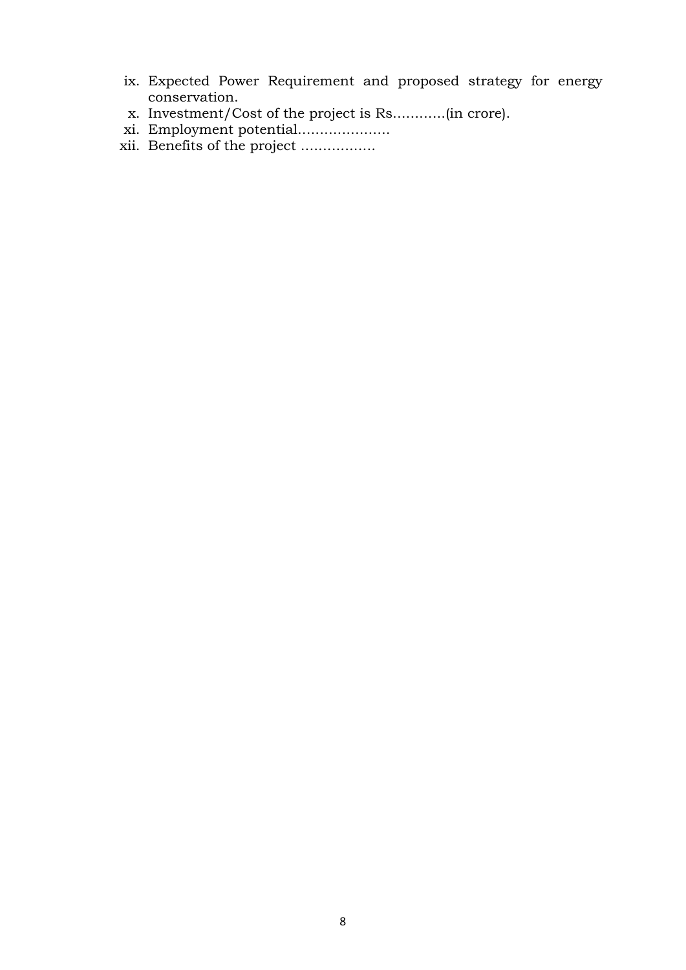- ix. Expected Power Requirement and proposed strategy for energy conservation.
- x. Investment/Cost of the project is Rs............(in crore).
- xi. Employment potential.....................
- xii. Benefits of the project .................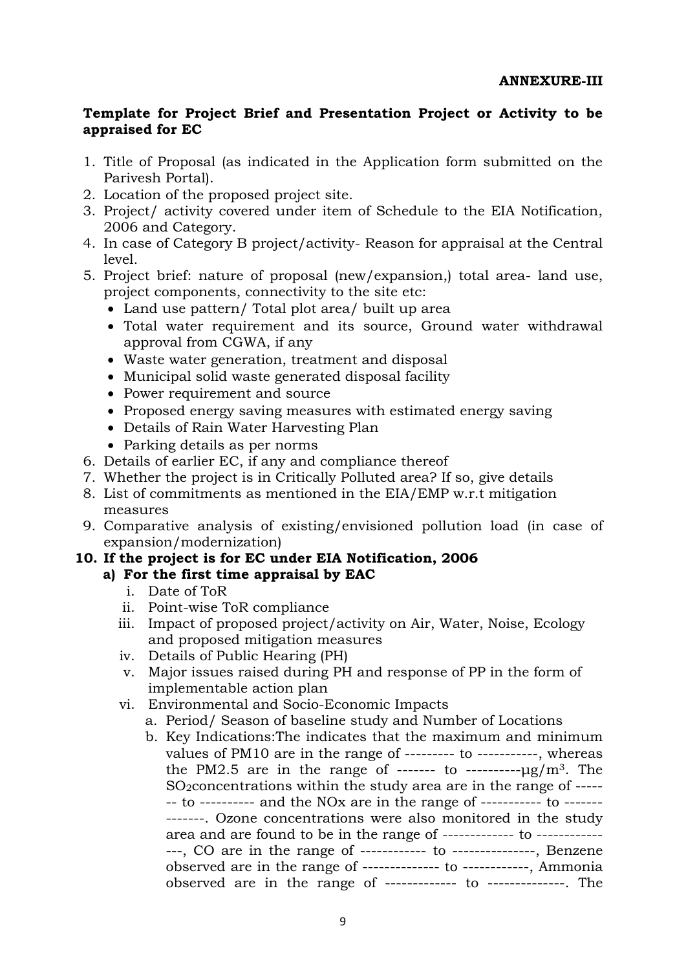#### **Template for Project Brief and Presentation Project or Activity to be appraised for EC**

- 1. Title of Proposal (as indicated in the Application form submitted on the Parivesh Portal).
- 2. Location of the proposed project site.
- 3. Project/ activity covered under item of Schedule to the EIA Notification, 2006 and Category.
- 4. In case of Category B project/activity- Reason for appraisal at the Central level.
- 5. Project brief: nature of proposal (new/expansion,) total area- land use, project components, connectivity to the site etc:
	- Land use pattern/ Total plot area/ built up area
	- Total water requirement and its source, Ground water withdrawal approval from CGWA, if any
	- Waste water generation, treatment and disposal
	- Municipal solid waste generated disposal facility
	- Power requirement and source
	- Proposed energy saving measures with estimated energy saving
	- Details of Rain Water Harvesting Plan
	- Parking details as per norms
- 6. Details of earlier EC, if any and compliance thereof
- 7. Whether the project is in Critically Polluted area? If so, give details
- 8. List of commitments as mentioned in the EIA/EMP w.r.t mitigation measures
- 9. Comparative analysis of existing/envisioned pollution load (in case of expansion/modernization)

# **10. If the project is for EC under EIA Notification, 2006**

# **a) For the first time appraisal by EAC**

- i. Date of ToR
- ii. Point-wise ToR compliance
- iii. Impact of proposed project/activity on Air, Water, Noise, Ecology and proposed mitigation measures
- iv. Details of Public Hearing (PH)
- v. Major issues raised during PH and response of PP in the form of implementable action plan
- vi. Environmental and Socio-Economic Impacts
	- a. Period/ Season of baseline study and Number of Locations
	- b. Key Indications:The indicates that the maximum and minimum values of PM10 are in the range of --------- to -----------, whereas the PM2.5 are in the range of  $----$  to  $--- \lg/m^3$ . The SO<sub>2</sub>concentrations within the study area are in the range of ------- to ---------- and the NOx are in the range of ----------- to ------- -------. Ozone concentrations were also monitored in the study area and are found to be in the range of ------------- to ------------ ---, CO are in the range of ------------ to ---------------, Benzene observed are in the range of -------------- to ------------, Ammonia observed are in the range of ------------- to --------------. The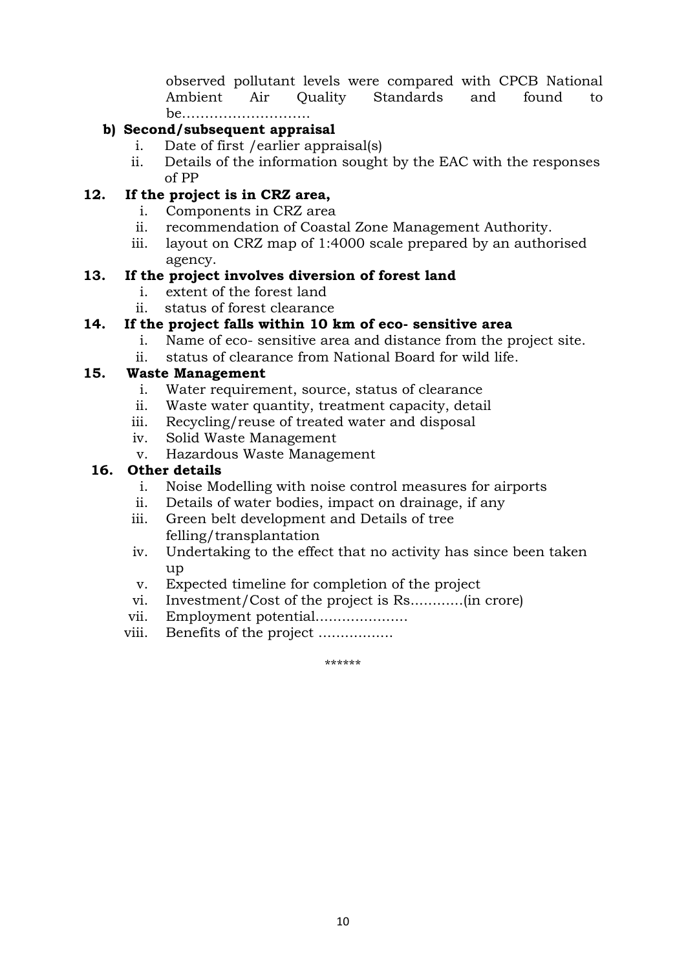observed pollutant levels were compared with CPCB National Ambient Air Quality Standards and found to be……………………….

# **b) Second/subsequent appraisal**

- i. Date of first /earlier appraisal(s)
- ii. Details of the information sought by the EAC with the responses of PP

# **12. If the project is in CRZ area,**

- i. Components in CRZ area
- ii. recommendation of Coastal Zone Management Authority.
- iii. layout on CRZ map of 1:4000 scale prepared by an authorised agency.

#### **13. If the project involves diversion of forest land**

- i. extent of the forest land
- ii. status of forest clearance

# **14. If the project falls within 10 km of eco- sensitive area**

- i. Name of eco- sensitive area and distance from the project site.
- ii. status of clearance from National Board for wild life.

# **15. Waste Management**

- i. Water requirement, source, status of clearance
- ii. Waste water quantity, treatment capacity, detail
- iii. Recycling/reuse of treated water and disposal
- iv. Solid Waste Management
- v. Hazardous Waste Management

#### **16. Other details**

- i. Noise Modelling with noise control measures for airports
- ii. Details of water bodies, impact on drainage, if any
- iii. Green belt development and Details of tree felling/transplantation
- iv. Undertaking to the effect that no activity has since been taken up
- v. Expected timeline for completion of the project
- vi. Investment/Cost of the project is Rs............(in crore)
- vii. Employment potential.....................
- viii. Benefits of the project .................

\*\*\*\*\*\*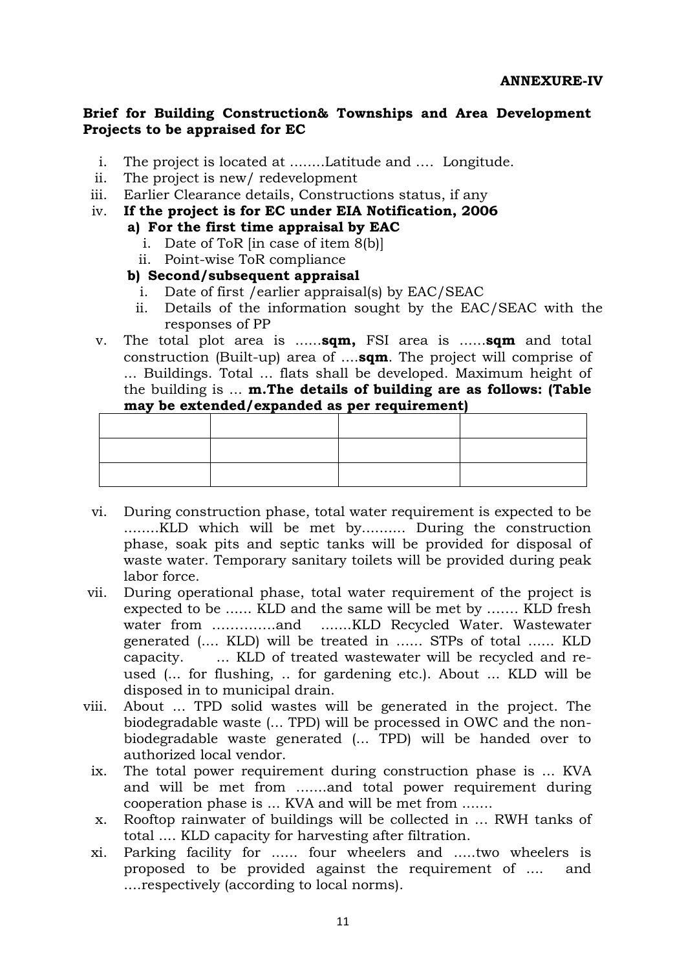#### **Brief for Building Construction& Townships and Area Development Projects to be appraised for EC**

- i. The project is located at ........Latitude and …. Longitude.
- ii. The project is new/ redevelopment
- iii. Earlier Clearance details, Constructions status, if any
- iv. **If the project is for EC under EIA Notification, 2006**
	- **a) For the first time appraisal by EAC**
		- i. Date of ToR [in case of item 8(b)]
		- ii. Point-wise ToR compliance

#### **b) Second/subsequent appraisal**

- i. Date of first /earlier appraisal(s) by EAC/SEAC
- ii. Details of the information sought by the EAC/SEAC with the responses of PP
- v. The total plot area is ......**sqm,** FSI area is ......**sqm** and total construction (Built-up) area of ....**sqm**. The project will comprise of ... Buildings. Total ... flats shall be developed. Maximum height of the building is ... **m.The details of building are as follows: (Table may be extended/expanded as per requirement)**

- vi. During construction phase, total water requirement is expected to be ........KLD which will be met by.......... During the construction phase, soak pits and septic tanks will be provided for disposal of waste water. Temporary sanitary toilets will be provided during peak labor force.
- vii. During operational phase, total water requirement of the project is expected to be ...... KLD and the same will be met by ……. KLD fresh water from …………..and .......KLD Recycled Water. Wastewater generated (.... KLD) will be treated in ...... STPs of total ...... KLD capacity. ... KLD of treated wastewater will be recycled and reused (... for flushing, .. for gardening etc.). About ... KLD will be disposed in to municipal drain.
- viii. About ... TPD solid wastes will be generated in the project. The biodegradable waste (... TPD) will be processed in OWC and the nonbiodegradable waste generated (... TPD) will be handed over to authorized local vendor.
	- ix. The total power requirement during construction phase is ... KVA and will be met from .......and total power requirement during cooperation phase is ... KVA and will be met from .......
	- x. Rooftop rainwater of buildings will be collected in … RWH tanks of total .... KLD capacity for harvesting after filtration.
	- xi. Parking facility for ...... four wheelers and .....two wheelers is proposed to be provided against the requirement of .... and ....respectively (according to local norms).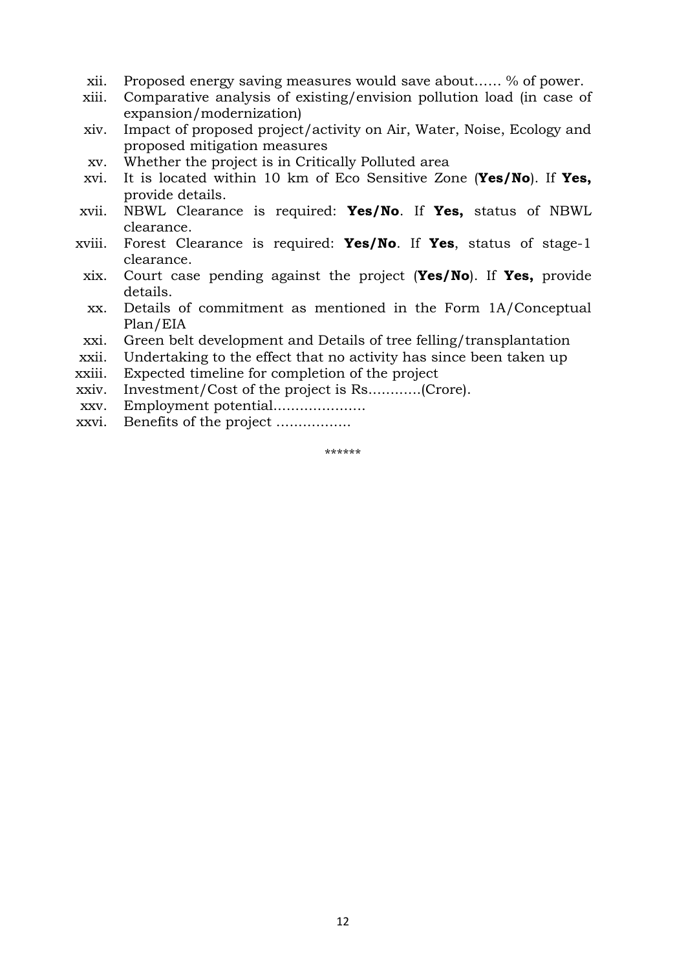- xii. Proposed energy saving measures would save about…… % of power.
- xiii. Comparative analysis of existing/envision pollution load (in case of expansion/modernization)
- xiv. Impact of proposed project/activity on Air, Water, Noise, Ecology and proposed mitigation measures
- xv. Whether the project is in Critically Polluted area
- xvi. It is located within 10 km of Eco Sensitive Zone (**Yes/No**). If **Yes,** provide details.
- xvii. NBWL Clearance is required: **Yes/No**. If **Yes,** status of NBWL clearance.
- xviii. Forest Clearance is required: **Yes/No**. If **Yes**, status of stage-1 clearance.
- xix. Court case pending against the project (**Yes/No**). If **Yes,** provide details.
- xx. Details of commitment as mentioned in the Form 1A/Conceptual Plan/EIA
- xxi. Green belt development and Details of tree felling/transplantation
- xxii. Undertaking to the effect that no activity has since been taken up
- xxiii. Expected timeline for completion of the project
- xxiv. Investment/Cost of the project is Rs............(Crore).
- xxv. Employment potential.....................
- xxvi. Benefits of the project .................

\*\*\*\*\*\*